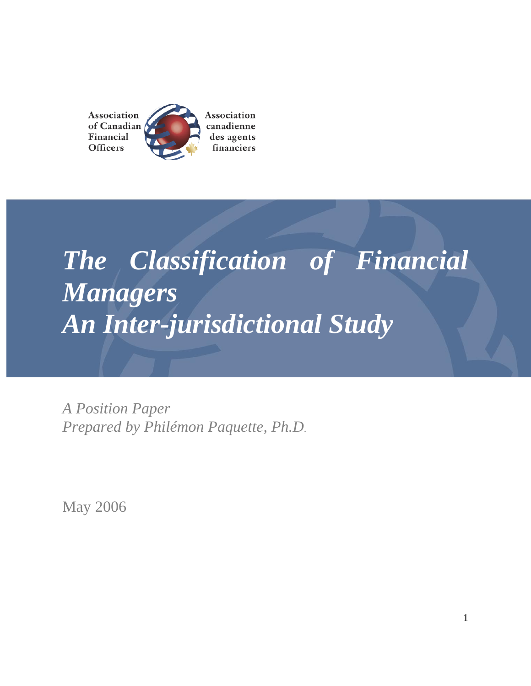Association Association of Canadian canadienne Financial des agents **Officers** financiers

# *The Classification of Financial Managers An Inter-jurisdictional Study*

*A Position Paper Prepared by Philémon Paquette, Ph.D.*

May 2006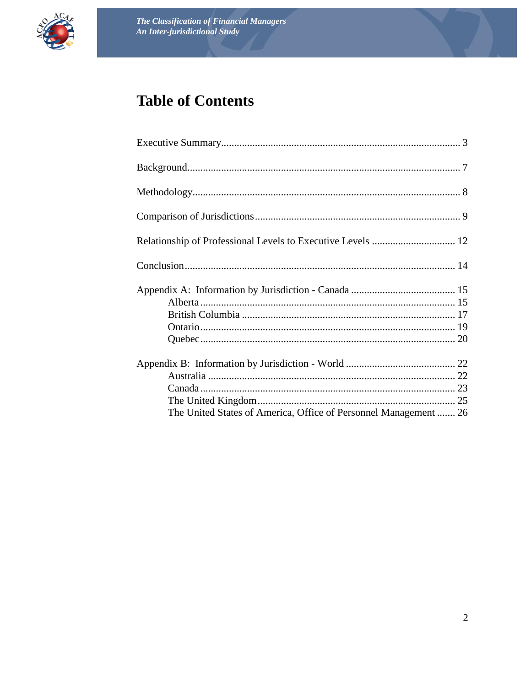

# **Table of Contents**

| The United States of America, Office of Personnel Management 26 |  |
|-----------------------------------------------------------------|--|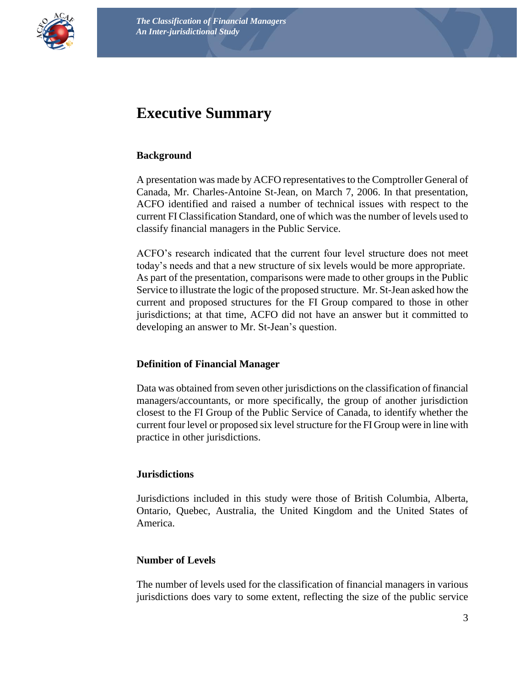

## <span id="page-2-0"></span>**Executive Summary**

#### **Background**

A presentation was made by ACFO representatives to the Comptroller General of Canada, Mr. Charles-Antoine St-Jean, on March 7, 2006. In that presentation, ACFO identified and raised a number of technical issues with respect to the current FI Classification Standard, one of which was the number of levels used to classify financial managers in the Public Service.

ACFO's research indicated that the current four level structure does not meet today's needs and that a new structure of six levels would be more appropriate. As part of the presentation, comparisons were made to other groups in the Public Service to illustrate the logic of the proposed structure. Mr. St-Jean asked how the current and proposed structures for the FI Group compared to those in other jurisdictions; at that time, ACFO did not have an answer but it committed to developing an answer to Mr. St-Jean's question.

#### **Definition of Financial Manager**

Data was obtained from seven other jurisdictions on the classification of financial managers/accountants, or more specifically, the group of another jurisdiction closest to the FI Group of the Public Service of Canada, to identify whether the current four level or proposed six level structure for the FI Group were in line with practice in other jurisdictions.

#### **Jurisdictions**

Jurisdictions included in this study were those of British Columbia, Alberta, Ontario, Quebec, Australia, the United Kingdom and the United States of America.

#### **Number of Levels**

The number of levels used for the classification of financial managers in various jurisdictions does vary to some extent, reflecting the size of the public service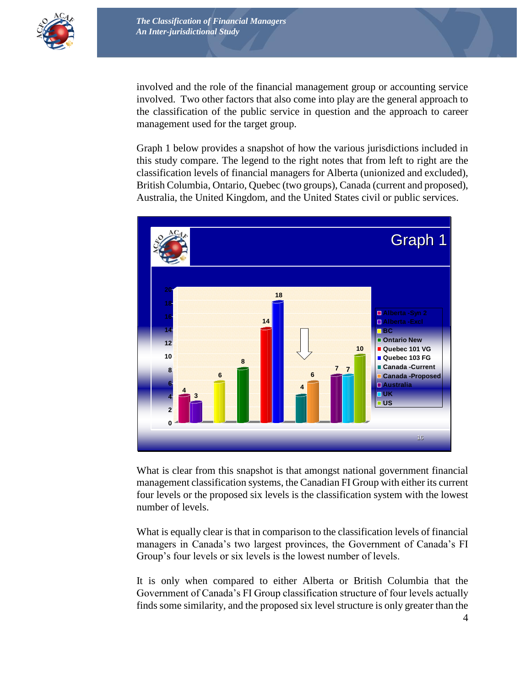

involved and the role of the financial management group or accounting service involved. Two other factors that also come into play are the general approach to the classification of the public service in question and the approach to career management used for the target group.

Graph 1 below provides a snapshot of how the various jurisdictions included in this study compare. The legend to the right notes that from left to right are the classification levels of financial managers for Alberta (unionized and excluded), British Columbia, Ontario, Quebec (two groups), Canada (current and proposed), Australia, the United Kingdom, and the United States civil or public services.



What is clear from this snapshot is that amongst national government financial management classification systems, the Canadian FI Group with either its current four levels or the proposed six levels is the classification system with the lowest number of levels.

What is equally clear is that in comparison to the classification levels of financial managers in Canada's two largest provinces, the Government of Canada's FI Group's four levels or six levels is the lowest number of levels.

It is only when compared to either Alberta or British Columbia that the Government of Canada's FI Group classification structure of four levels actually finds some similarity, and the proposed six level structure is only greater than the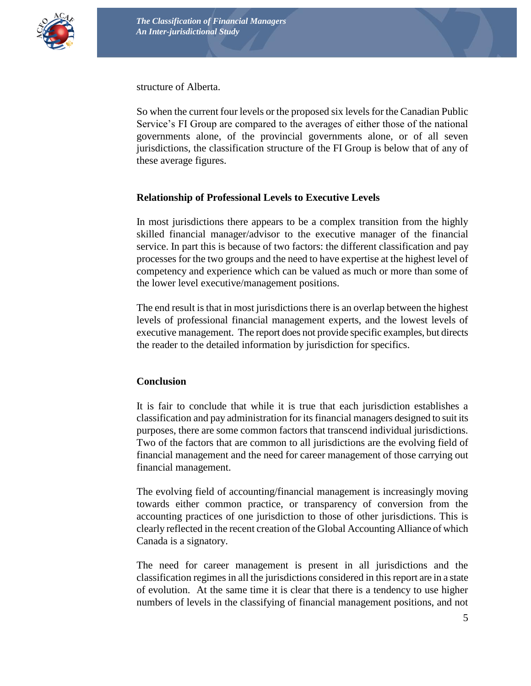

structure of Alberta.

So when the current four levels or the proposed six levels for the Canadian Public Service's FI Group are compared to the averages of either those of the national governments alone, of the provincial governments alone, or of all seven jurisdictions, the classification structure of the FI Group is below that of any of these average figures.

#### **Relationship of Professional Levels to Executive Levels**

In most jurisdictions there appears to be a complex transition from the highly skilled financial manager/advisor to the executive manager of the financial service. In part this is because of two factors: the different classification and pay processes for the two groups and the need to have expertise at the highest level of competency and experience which can be valued as much or more than some of the lower level executive/management positions.

The end result is that in most jurisdictions there is an overlap between the highest levels of professional financial management experts, and the lowest levels of executive management. The report does not provide specific examples, but directs the reader to the detailed information by jurisdiction for specifics.

#### **Conclusion**

It is fair to conclude that while it is true that each jurisdiction establishes a classification and pay administration for its financial managers designed to suit its purposes, there are some common factors that transcend individual jurisdictions. Two of the factors that are common to all jurisdictions are the evolving field of financial management and the need for career management of those carrying out financial management.

The evolving field of accounting/financial management is increasingly moving towards either common practice, or transparency of conversion from the accounting practices of one jurisdiction to those of other jurisdictions. This is clearly reflected in the recent creation of the Global Accounting Alliance of which Canada is a signatory.

The need for career management is present in all jurisdictions and the classification regimes in all the jurisdictions considered in this report are in a state of evolution. At the same time it is clear that there is a tendency to use higher numbers of levels in the classifying of financial management positions, and not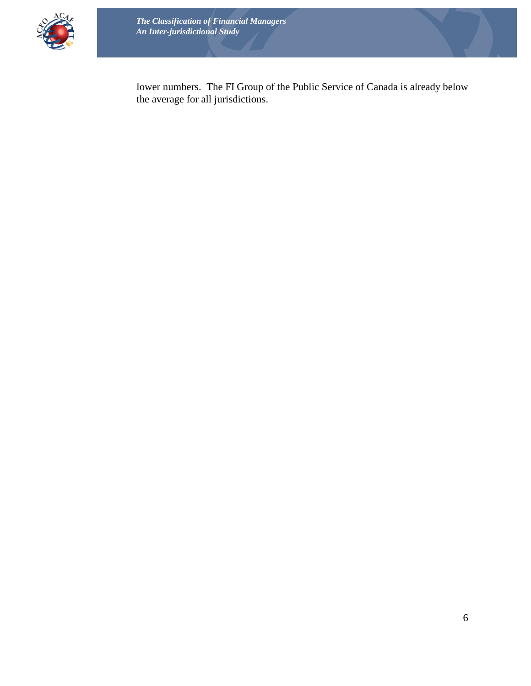

lower numbers. The FI Group of the Public Service of Canada is already below the average for all jurisdictions.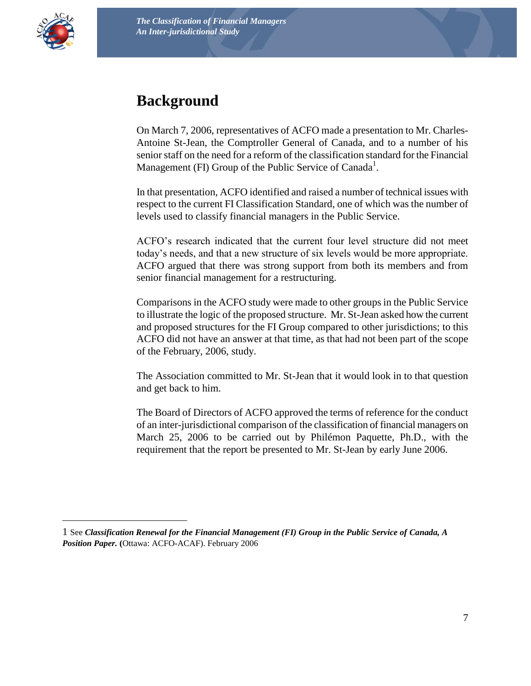<span id="page-6-0"></span>

 $\overline{a}$ 

## **Background**

On March 7, 2006, representatives of ACFO made a presentation to Mr. Charles-Antoine St-Jean, the Comptroller General of Canada, and to a number of his senior staff on the need for a reform of the classification standard for the Financial Management (FI) Group of the Public Service of Canada<sup>1</sup>.

In that presentation, ACFO identified and raised a number of technical issues with respect to the current FI Classification Standard, one of which was the number of levels used to classify financial managers in the Public Service.

ACFO's research indicated that the current four level structure did not meet today's needs, and that a new structure of six levels would be more appropriate. ACFO argued that there was strong support from both its members and from senior financial management for a restructuring.

Comparisons in the ACFO study were made to other groups in the Public Service to illustrate the logic of the proposed structure. Mr. St-Jean asked how the current and proposed structures for the FI Group compared to other jurisdictions; to this ACFO did not have an answer at that time, as that had not been part of the scope of the February, 2006, study.

The Association committed to Mr. St-Jean that it would look in to that question and get back to him.

The Board of Directors of ACFO approved the terms of reference for the conduct of an inter-jurisdictional comparison of the classification of financial managers on March 25, 2006 to be carried out by Philémon Paquette, Ph.D., with the requirement that the report be presented to Mr. St-Jean by early June 2006.

<sup>1</sup> See *Classification Renewal for the Financial Management (FI) Group in the Public Service of Canada, A Position Paper.* **(**Ottawa: ACFO-ACAF). February 2006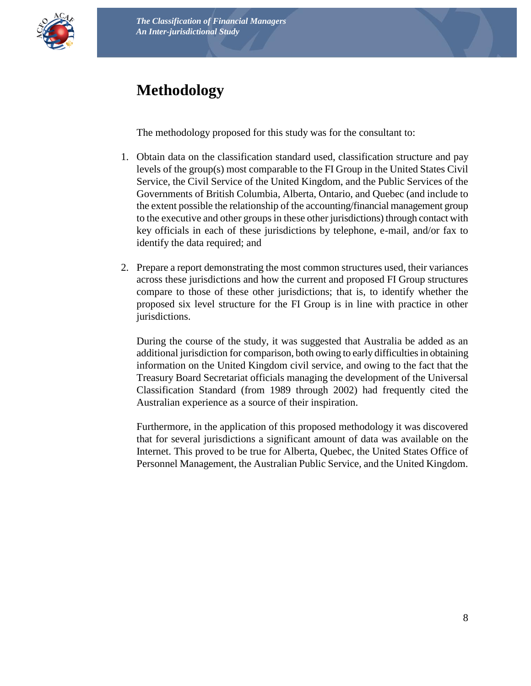

# <span id="page-7-0"></span>**Methodology**

The methodology proposed for this study was for the consultant to:

- 1. Obtain data on the classification standard used, classification structure and pay levels of the group(s) most comparable to the FI Group in the United States Civil Service, the Civil Service of the United Kingdom, and the Public Services of the Governments of British Columbia, Alberta, Ontario, and Quebec (and include to the extent possible the relationship of the accounting/financial management group to the executive and other groups in these other jurisdictions) through contact with key officials in each of these jurisdictions by telephone, e-mail, and/or fax to identify the data required; and
- 2. Prepare a report demonstrating the most common structures used, their variances across these jurisdictions and how the current and proposed FI Group structures compare to those of these other jurisdictions; that is, to identify whether the proposed six level structure for the FI Group is in line with practice in other jurisdictions.

During the course of the study, it was suggested that Australia be added as an additional jurisdiction for comparison, both owing to early difficulties in obtaining information on the United Kingdom civil service, and owing to the fact that the Treasury Board Secretariat officials managing the development of the Universal Classification Standard (from 1989 through 2002) had frequently cited the Australian experience as a source of their inspiration.

Furthermore, in the application of this proposed methodology it was discovered that for several jurisdictions a significant amount of data was available on the Internet. This proved to be true for Alberta, Quebec, the United States Office of Personnel Management, the Australian Public Service, and the United Kingdom.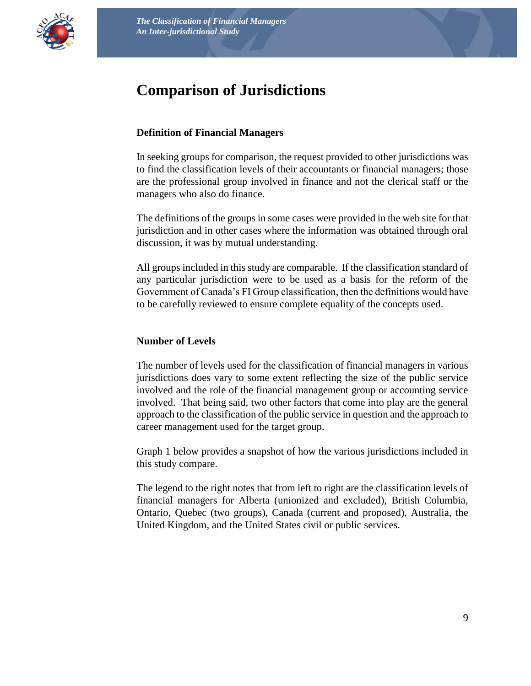<span id="page-8-0"></span>

## **Comparison of Jurisdictions**

#### **Definition of Financial Managers**

In seeking groups for comparison, the request provided to other jurisdictions was to find the classification levels of their accountants or financial managers; those are the professional group involved in finance and not the clerical staff or the managers who also do finance.

The definitions of the groups in some cases were provided in the web site for that jurisdiction and in other cases where the information was obtained through oral discussion, it was by mutual understanding.

All groups included in this study are comparable. If the classification standard of any particular jurisdiction were to be used as a basis for the reform of the Government of Canada's FI Group classification, then the definitions would have to be carefully reviewed to ensure complete equality of the concepts used.

#### **Number of Levels**

The number of levels used for the classification of financial managers in various jurisdictions does vary to some extent reflecting the size of the public service involved and the role of the financial management group or accounting service involved. That being said, two other factors that come into play are the general approach to the classification of the public service in question and the approach to career management used for the target group.

Graph 1 below provides a snapshot of how the various jurisdictions included in this study compare.

The legend to the right notes that from left to right are the classification levels of financial managers for Alberta (unionized and excluded), British Columbia, Ontario, Quebec (two groups), Canada (current and proposed), Australia, the United Kingdom, and the United States civil or public services.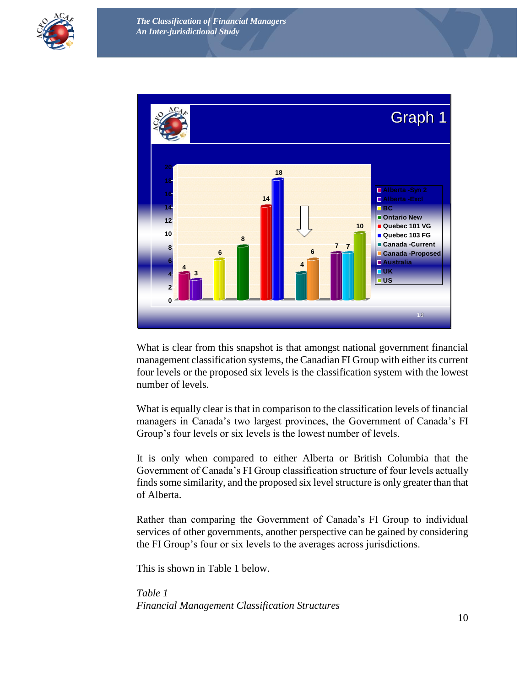



What is clear from this snapshot is that amongst national government financial management classification systems, the Canadian FI Group with either its current four levels or the proposed six levels is the classification system with the lowest number of levels.

What is equally clear is that in comparison to the classification levels of financial managers in Canada's two largest provinces, the Government of Canada's FI Group's four levels or six levels is the lowest number of levels.

It is only when compared to either Alberta or British Columbia that the Government of Canada's FI Group classification structure of four levels actually finds some similarity, and the proposed six level structure is only greater than that of Alberta.

Rather than comparing the Government of Canada's FI Group to individual services of other governments, another perspective can be gained by considering the FI Group's four or six levels to the averages across jurisdictions.

This is shown in Table 1 below.

*Table 1 Financial Management Classification Structures*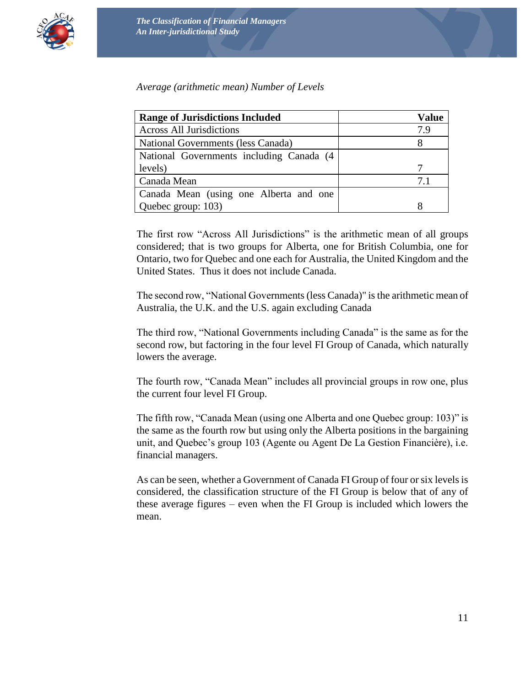

*Average (arithmetic mean) Number of Levels*

| <b>Range of Jurisdictions Included</b>    | Value |
|-------------------------------------------|-------|
| <b>Across All Jurisdictions</b>           | 7.9   |
| National Governments (less Canada)        |       |
| National Governments including Canada (4) |       |
| levels)                                   |       |
| Canada Mean                               | 71    |
| Canada Mean (using one Alberta and one    |       |
| Quebec group: 103)                        |       |

The first row "Across All Jurisdictions" is the arithmetic mean of all groups considered; that is two groups for Alberta, one for British Columbia, one for Ontario, two for Quebec and one each for Australia, the United Kingdom and the United States. Thus it does not include Canada.

The second row, "National Governments (less Canada)" is the arithmetic mean of Australia, the U.K. and the U.S. again excluding Canada

The third row, "National Governments including Canada" is the same as for the second row, but factoring in the four level FI Group of Canada, which naturally lowers the average.

The fourth row, "Canada Mean" includes all provincial groups in row one, plus the current four level FI Group.

The fifth row, "Canada Mean (using one Alberta and one Quebec group: 103)" is the same as the fourth row but using only the Alberta positions in the bargaining unit, and Quebec's group 103 (Agente ou Agent De La Gestion Financière), i.e. financial managers.

As can be seen, whether a Government of Canada FI Group of four or six levels is considered, the classification structure of the FI Group is below that of any of these average figures – even when the FI Group is included which lowers the mean.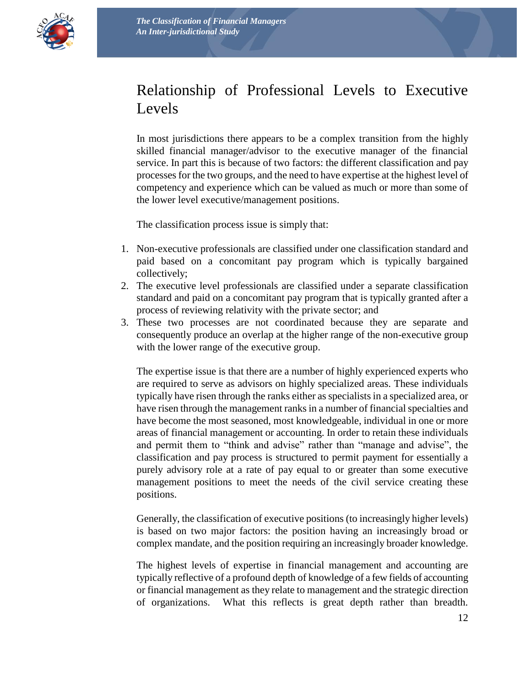<span id="page-11-0"></span>

# Relationship of Professional Levels to Executive Levels

In most jurisdictions there appears to be a complex transition from the highly skilled financial manager/advisor to the executive manager of the financial service. In part this is because of two factors: the different classification and pay processes for the two groups, and the need to have expertise at the highest level of competency and experience which can be valued as much or more than some of the lower level executive/management positions.

The classification process issue is simply that:

- 1. Non-executive professionals are classified under one classification standard and paid based on a concomitant pay program which is typically bargained collectively;
- 2. The executive level professionals are classified under a separate classification standard and paid on a concomitant pay program that is typically granted after a process of reviewing relativity with the private sector; and
- 3. These two processes are not coordinated because they are separate and consequently produce an overlap at the higher range of the non-executive group with the lower range of the executive group.

The expertise issue is that there are a number of highly experienced experts who are required to serve as advisors on highly specialized areas. These individuals typically have risen through the ranks either as specialists in a specialized area, or have risen through the management ranks in a number of financial specialties and have become the most seasoned, most knowledgeable, individual in one or more areas of financial management or accounting. In order to retain these individuals and permit them to "think and advise" rather than "manage and advise", the classification and pay process is structured to permit payment for essentially a purely advisory role at a rate of pay equal to or greater than some executive management positions to meet the needs of the civil service creating these positions.

Generally, the classification of executive positions (to increasingly higher levels) is based on two major factors: the position having an increasingly broad or complex mandate, and the position requiring an increasingly broader knowledge.

The highest levels of expertise in financial management and accounting are typically reflective of a profound depth of knowledge of a few fields of accounting or financial management as they relate to management and the strategic direction of organizations. What this reflects is great depth rather than breadth.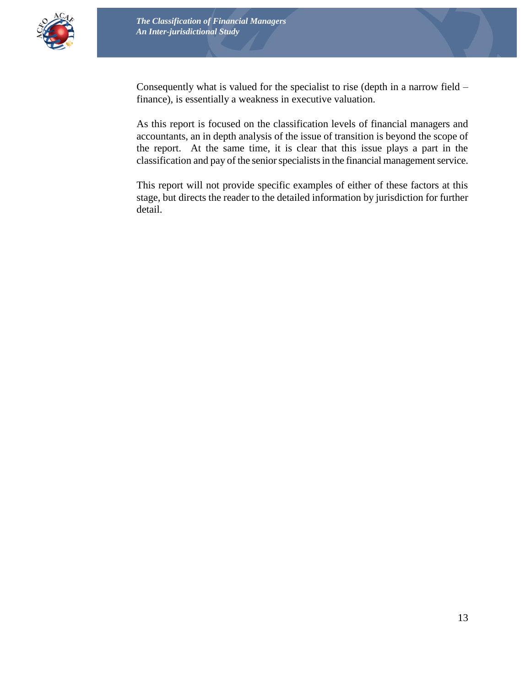

Consequently what is valued for the specialist to rise (depth in a narrow field – finance), is essentially a weakness in executive valuation.

As this report is focused on the classification levels of financial managers and accountants, an in depth analysis of the issue of transition is beyond the scope of the report. At the same time, it is clear that this issue plays a part in the classification and pay of the senior specialists in the financial management service.

This report will not provide specific examples of either of these factors at this stage, but directs the reader to the detailed information by jurisdiction for further detail.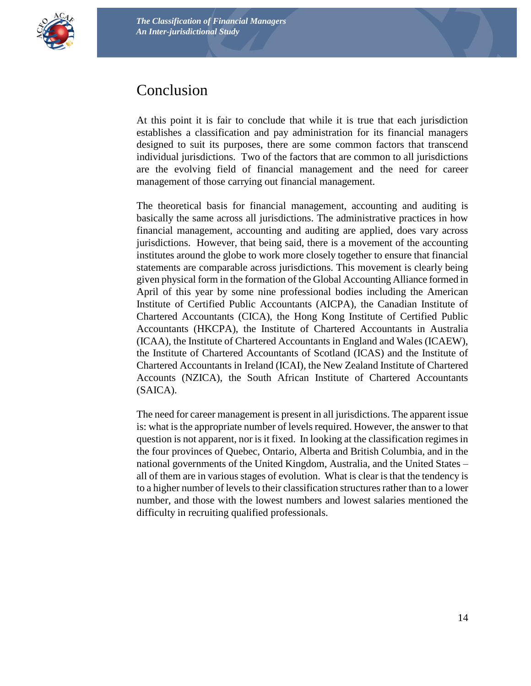

<span id="page-13-0"></span>

### Conclusion

At this point it is fair to conclude that while it is true that each jurisdiction establishes a classification and pay administration for its financial managers designed to suit its purposes, there are some common factors that transcend individual jurisdictions. Two of the factors that are common to all jurisdictions are the evolving field of financial management and the need for career management of those carrying out financial management.

The theoretical basis for financial management, accounting and auditing is basically the same across all jurisdictions. The administrative practices in how financial management, accounting and auditing are applied, does vary across jurisdictions. However, that being said, there is a movement of the accounting institutes around the globe to work more closely together to ensure that financial statements are comparable across jurisdictions. This movement is clearly being given physical form in the formation of the Global Accounting Alliance formed in April of this year by some nine professional bodies including the American Institute of Certified Public Accountants (AICPA), the Canadian Institute of Chartered Accountants (CICA), the Hong Kong Institute of Certified Public Accountants (HKCPA), the Institute of Chartered Accountants in Australia (ICAA), the Institute of Chartered Accountants in England and Wales (ICAEW), the Institute of Chartered Accountants of Scotland (ICAS) and the Institute of Chartered Accountants in Ireland (ICAI), the New Zealand Institute of Chartered Accounts (NZICA), the South African Institute of Chartered Accountants (SAICA).

The need for career management is present in all jurisdictions. The apparent issue is: what is the appropriate number of levels required. However, the answer to that question is not apparent, nor is it fixed. In looking at the classification regimes in the four provinces of Quebec, Ontario, Alberta and British Columbia, and in the national governments of the United Kingdom, Australia, and the United States – all of them are in various stages of evolution. What is clear is that the tendency is to a higher number of levels to their classification structures rather than to a lower number, and those with the lowest numbers and lowest salaries mentioned the difficulty in recruiting qualified professionals.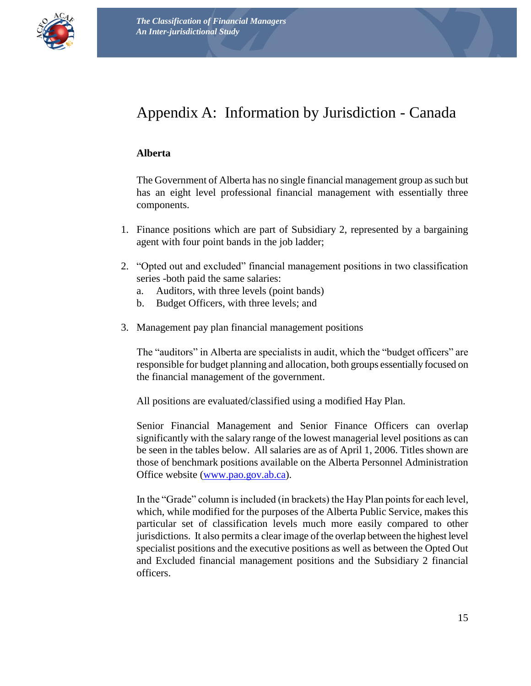

# <span id="page-14-0"></span>Appendix A: Information by Jurisdiction - Canada

#### <span id="page-14-1"></span>**Alberta**

The Government of Alberta has no single financial management group as such but has an eight level professional financial management with essentially three components.

- 1. Finance positions which are part of Subsidiary 2, represented by a bargaining agent with four point bands in the job ladder;
- 2. "Opted out and excluded" financial management positions in two classification series -both paid the same salaries:
	- a. Auditors, with three levels (point bands)
	- b. Budget Officers, with three levels; and
- 3. Management pay plan financial management positions

The "auditors" in Alberta are specialists in audit, which the "budget officers" are responsible for budget planning and allocation, both groups essentially focused on the financial management of the government.

All positions are evaluated/classified using a modified Hay Plan.

Senior Financial Management and Senior Finance Officers can overlap significantly with the salary range of the lowest managerial level positions as can be seen in the tables below. All salaries are as of April 1, 2006. Titles shown are those of benchmark positions available on the Alberta Personnel Administration Office website [\(www.pao.gov.ab.ca\)](http://www.pao.gov.ab.ca/).

In the "Grade" column is included (in brackets) the Hay Plan points for each level, which, while modified for the purposes of the Alberta Public Service, makes this particular set of classification levels much more easily compared to other jurisdictions. It also permits a clear image of the overlap between the highest level specialist positions and the executive positions as well as between the Opted Out and Excluded financial management positions and the Subsidiary 2 financial officers.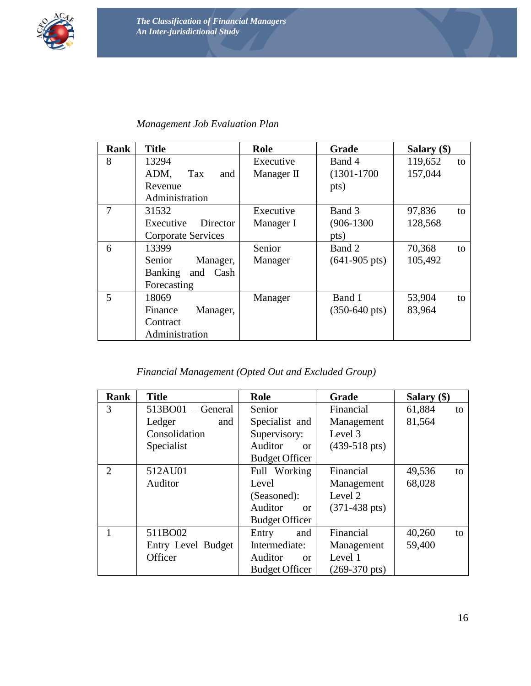

#### *Management Job Evaluation Plan*

| Rank | <b>Title</b>               | Role       | Grade                   | Salary (\$)   |  |  |
|------|----------------------------|------------|-------------------------|---------------|--|--|
| 8    | 13294                      | Executive  | Band 4                  | 119,652<br>to |  |  |
|      | ADM,<br>Tax<br>and         | Manager II | $(1301 - 1700)$         | 157,044       |  |  |
|      | Revenue                    |            | pts)                    |               |  |  |
|      | Administration             |            |                         |               |  |  |
| 7    | 31532                      | Executive  | Band 3                  | 97,836<br>to  |  |  |
|      | Executive<br>Director      | Manager I  | $(906-1300)$            | 128,568       |  |  |
|      | Corporate Services         |            | pts)                    |               |  |  |
| 6    | 13399                      | Senior     | Band 2                  | 70,368<br>to  |  |  |
|      | Senior<br>Manager,         | Manager    | $(641-905 \text{ pts})$ | 105,492       |  |  |
|      | and Cash<br><b>Banking</b> |            |                         |               |  |  |
|      | Forecasting                |            |                         |               |  |  |
| 5    | 18069                      | Manager    | Band 1                  | 53,904<br>to  |  |  |
|      | Manager,<br>Finance        |            | $(350-640 \text{ pts})$ | 83,964        |  |  |
|      | Contract                   |            |                         |               |  |  |
|      | Administration             |            |                         |               |  |  |

#### *Financial Management (Opted Out and Excluded Group)*

| Rank           | <b>Title</b>       | Role                     | Grade                   | Salary (\$)  |
|----------------|--------------------|--------------------------|-------------------------|--------------|
| 3              | 513BO01 - General  | Senior                   | Financial               | 61,884<br>to |
|                | Ledger<br>and      | Specialist and           | Management              | 81,564       |
|                | Consolidation      | Supervisory:             | Level 3                 |              |
|                | Specialist         | Auditor<br>or            | $(439-518 \text{ pts})$ |              |
|                |                    | <b>Budget Officer</b>    |                         |              |
| $\overline{2}$ | 512AU01            | Full Working             | Financial               | 49,536<br>to |
|                | Auditor            | Level                    | Management              | 68,028       |
|                |                    | (Seasoned):              | Level 2                 |              |
|                |                    | Auditor<br>$\alpha$      | $(371-438 \text{ pts})$ |              |
|                |                    | <b>Budget Officer</b>    |                         |              |
|                | 511BO02            | and<br>Entry             | Financial               | 40,260<br>to |
|                | Entry Level Budget | Intermediate:            | Management              | 59,400       |
|                | Officer            | Auditor<br><sub>or</sub> | Level 1                 |              |
|                |                    | <b>Budget Officer</b>    | $(269-370 \text{ pts})$ |              |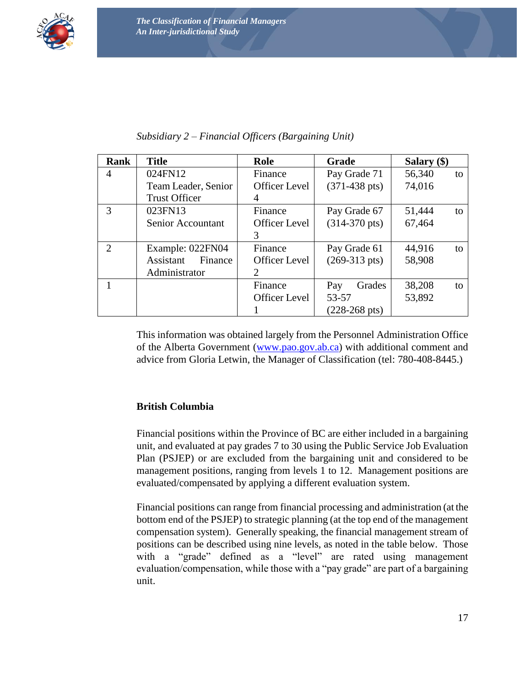

| Rank           | <b>Title</b>         | Role                 | <b>Grade</b>            | Salary $(\$)$ |  |  |
|----------------|----------------------|----------------------|-------------------------|---------------|--|--|
| $\overline{4}$ | 024FN12              | Finance              | Pay Grade 71            | 56,340<br>to  |  |  |
|                | Team Leader, Senior  | <b>Officer Level</b> | $(371-438 \text{ pts})$ | 74,016        |  |  |
|                | <b>Trust Officer</b> | 4                    |                         |               |  |  |
| 3              | 023FN13              | Finance              | Pay Grade 67            | 51,444<br>to  |  |  |
|                | Senior Accountant    | Officer Level        | $(314-370 \text{ pts})$ | 67,464        |  |  |
|                |                      | 3                    |                         |               |  |  |
| $\overline{2}$ | Example: 022FN04     | Finance              | Pay Grade 61            | 44,916<br>to  |  |  |
|                | Finance<br>Assistant | <b>Officer Level</b> | $(269-313 \text{ pts})$ | 58,908        |  |  |
|                | Administrator        | 2                    |                         |               |  |  |
|                |                      | Finance              | Grades<br>Pay           | 38,208<br>to  |  |  |
|                |                      | <b>Officer Level</b> | 53-57                   | 53,892        |  |  |
|                |                      |                      | $(228-268 \text{ pts})$ |               |  |  |

| Subsidiary 2 – Financial Officers (Bargaining Unit) |  |  |  |
|-----------------------------------------------------|--|--|--|
|                                                     |  |  |  |

This information was obtained largely from the Personnel Administration Office of the Alberta Government [\(www.pao.gov.ab.ca\)](http://www.pao.gov.ab.ca/) with additional comment and advice from Gloria Letwin, the Manager of Classification (tel: 780-408-8445.)

#### <span id="page-16-0"></span>**British Columbia**

Financial positions within the Province of BC are either included in a bargaining unit, and evaluated at pay grades 7 to 30 using the Public Service Job Evaluation Plan (PSJEP) or are excluded from the bargaining unit and considered to be management positions, ranging from levels 1 to 12. Management positions are evaluated/compensated by applying a different evaluation system.

Financial positions can range from financial processing and administration (at the bottom end of the PSJEP) to strategic planning (at the top end of the management compensation system). Generally speaking, the financial management stream of positions can be described using nine levels, as noted in the table below. Those with a "grade" defined as a "level" are rated using management evaluation/compensation, while those with a "pay grade" are part of a bargaining unit.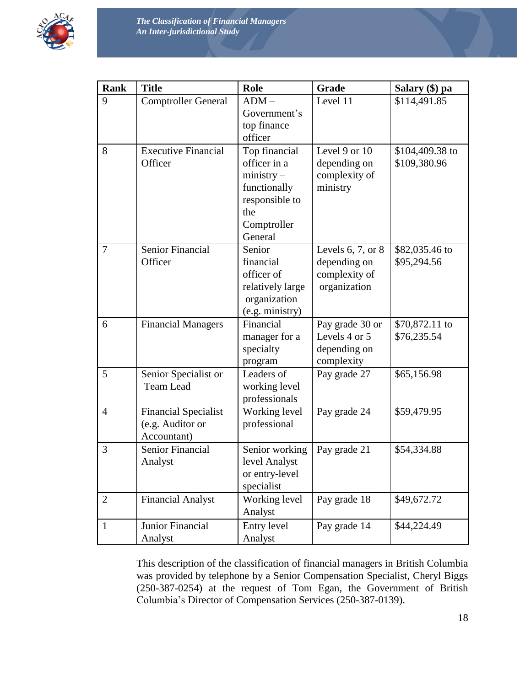

| <b>Rank</b>    | <b>Title</b>                                                   | <b>Role</b>                                                                                                      | Grade                                                                  | Salary (\$) pa                  |  |  |
|----------------|----------------------------------------------------------------|------------------------------------------------------------------------------------------------------------------|------------------------------------------------------------------------|---------------------------------|--|--|
| 9              | <b>Comptroller General</b>                                     | $ADM -$<br>Government's<br>top finance<br>officer                                                                | Level 11                                                               | \$114,491.85                    |  |  |
| 8              | <b>Executive Financial</b><br>Officer                          | Top financial<br>officer in a<br>$ministry -$<br>functionally<br>responsible to<br>the<br>Comptroller<br>General | Level 9 or 10<br>depending on<br>complexity of<br>ministry             | \$104,409.38 to<br>\$109,380.96 |  |  |
| 7              | Senior Financial<br>Officer                                    | Senior<br>financial<br>officer of<br>relatively large<br>organization<br>(e.g. ministry)                         | Levels $6, 7,$ or $8$<br>depending on<br>complexity of<br>organization | \$82,035.46 to<br>\$95,294.56   |  |  |
| 6              | <b>Financial Managers</b>                                      | Financial<br>manager for a<br>specialty<br>program                                                               | Pay grade 30 or<br>Levels 4 or 5<br>depending on<br>complexity         | \$70,872.11 to<br>\$76,235.54   |  |  |
| 5              | Senior Specialist or<br><b>Team Lead</b>                       | Leaders of<br>working level<br>professionals                                                                     | Pay grade 27                                                           | \$65,156.98                     |  |  |
| $\overline{4}$ | <b>Financial Specialist</b><br>(e.g. Auditor or<br>Accountant) | Working level<br>professional                                                                                    | Pay grade 24                                                           | \$59,479.95                     |  |  |
| 3              | Senior Financial<br>Analyst                                    | Senior working<br>level Analyst<br>or entry-level<br>specialist                                                  | Pay grade 21                                                           | \$54,334.88                     |  |  |
| $\overline{2}$ | <b>Financial Analyst</b>                                       | Working level<br>Analyst                                                                                         | Pay grade 18                                                           | \$49,672.72                     |  |  |
| $\mathbf{1}$   | Junior Financial<br>Analyst                                    | Entry level<br>Analyst                                                                                           | Pay grade 14                                                           | \$44,224.49                     |  |  |

This description of the classification of financial managers in British Columbia was provided by telephone by a Senior Compensation Specialist, Cheryl Biggs (250-387-0254) at the request of Tom Egan, the Government of British Columbia's Director of Compensation Services (250-387-0139).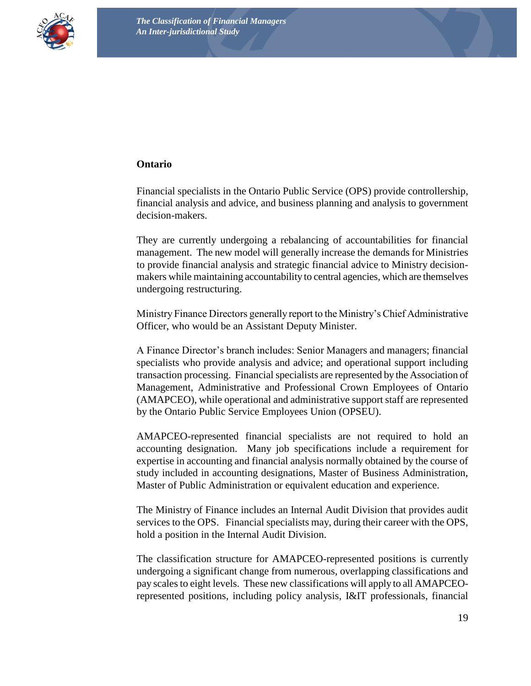

#### <span id="page-18-0"></span>**Ontario**

Financial specialists in the Ontario Public Service (OPS) provide controllership, financial analysis and advice, and business planning and analysis to government decision-makers.

They are currently undergoing a rebalancing of accountabilities for financial management. The new model will generally increase the demands for Ministries to provide financial analysis and strategic financial advice to Ministry decisionmakers while maintaining accountability to central agencies, which are themselves undergoing restructuring.

Ministry Finance Directors generally report to the Ministry's Chief Administrative Officer, who would be an Assistant Deputy Minister.

A Finance Director's branch includes: Senior Managers and managers; financial specialists who provide analysis and advice; and operational support including transaction processing. Financial specialists are represented by the Association of Management, Administrative and Professional Crown Employees of Ontario (AMAPCEO), while operational and administrative support staff are represented by the Ontario Public Service Employees Union (OPSEU).

AMAPCEO-represented financial specialists are not required to hold an accounting designation. Many job specifications include a requirement for expertise in accounting and financial analysis normally obtained by the course of study included in accounting designations, Master of Business Administration, Master of Public Administration or equivalent education and experience.

The Ministry of Finance includes an Internal Audit Division that provides audit services to the OPS. Financial specialists may, during their career with the OPS, hold a position in the Internal Audit Division.

The classification structure for AMAPCEO-represented positions is currently undergoing a significant change from numerous, overlapping classifications and pay scales to eight levels. These new classifications will apply to all AMAPCEOrepresented positions, including policy analysis, I&IT professionals, financial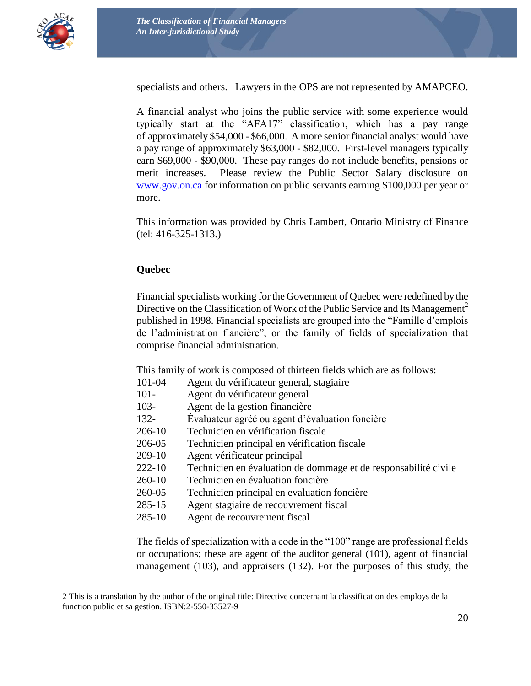

 $\overline{a}$ 

specialists and others. Lawyers in the OPS are not represented by AMAPCEO.

A financial analyst who joins the public service with some experience would typically start at the "AFA17" classification, which has a pay range of approximately \$54,000 - \$66,000. A more senior financial analyst would have a pay range of approximately \$63,000 - \$82,000. First-level managers typically earn \$69,000 - \$90,000. These pay ranges do not include benefits, pensions or merit increases. Please review the Public Sector Salary disclosure on [www.gov.on.ca](http://www.gov.on.ca/) for information on public servants earning \$100,000 per year or more.

This information was provided by Chris Lambert, Ontario Ministry of Finance (tel: 416-325-1313.)

#### <span id="page-19-0"></span>**Quebec**

Financial specialists working for the Government of Quebec were redefined by the Directive on the Classification of Work of the Public Service and Its Management<sup>2</sup> published in 1998. Financial specialists are grouped into the "Famille d'emplois de l'administration fiancière", or the family of fields of specialization that comprise financial administration.

This family of work is composed of thirteen fields which are as follows:

- 101-04 Agent du vérificateur general, stagiaire
- 101- Agent du vérificateur general
- 103- Agent de la gestion financière
- 132- Évaluateur agréé ou agent d'évaluation foncière
- 206-10 Technicien en vérification fiscale
- 206-05 Technicien principal en vérification fiscale
- 209-10 Agent vérificateur principal
- 222-10 Technicien en évaluation de dommage et de responsabilité civile
- 260-10 Technicien en évaluation foncière
- 260-05 Technicien principal en evaluation foncière
- 285-15 Agent stagiaire de recouvrement fiscal
- 285-10 Agent de recouvrement fiscal

The fields of specialization with a code in the "100" range are professional fields or occupations; these are agent of the auditor general (101), agent of financial management (103), and appraisers (132). For the purposes of this study, the

<sup>2</sup> This is a translation by the author of the original title: Directive concernant la classification des employs de la function public et sa gestion. ISBN:2-550-33527-9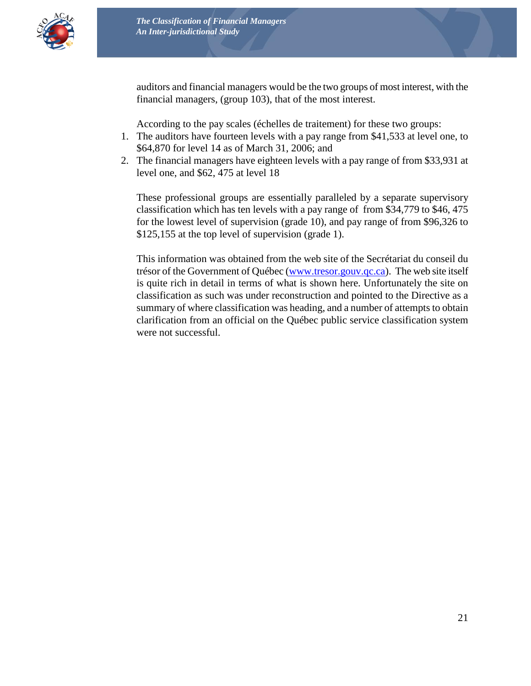

auditors and financial managers would be the two groups of most interest, with the financial managers, (group 103), that of the most interest.

According to the pay scales (échelles de traitement) for these two groups:

- 1. The auditors have fourteen levels with a pay range from \$41,533 at level one, to \$64,870 for level 14 as of March 31, 2006; and
- 2. The financial managers have eighteen levels with a pay range of from \$33,931 at level one, and \$62, 475 at level 18

These professional groups are essentially paralleled by a separate supervisory classification which has ten levels with a pay range of from \$34,779 to \$46, 475 for the lowest level of supervision (grade 10), and pay range of from \$96,326 to \$125,155 at the top level of supervision (grade 1).

This information was obtained from the web site of the Secrétariat du conseil du trésor of the Government of Québec [\(www.tresor.gouv.qc.ca\)](http://www.tresor.gouv.qc.ca/). The web site itself is quite rich in detail in terms of what is shown here. Unfortunately the site on classification as such was under reconstruction and pointed to the Directive as a summary of where classification was heading, and a number of attempts to obtain clarification from an official on the Québec public service classification system were not successful.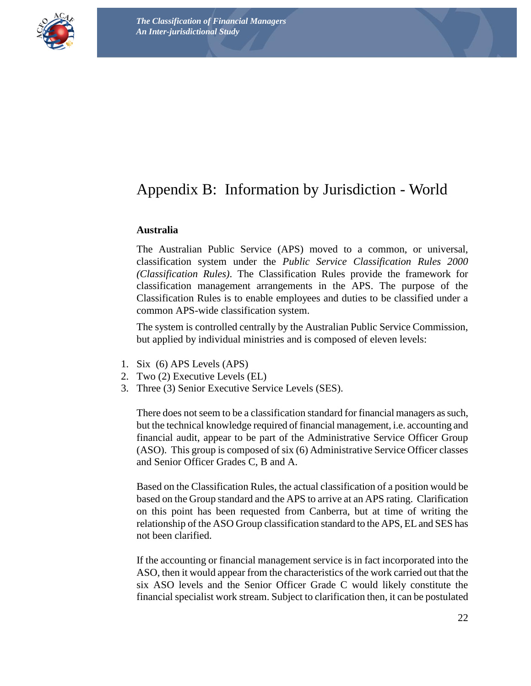

# <span id="page-21-0"></span>Appendix B: Information by Jurisdiction - World

#### <span id="page-21-1"></span>**Australia**

The Australian Public Service (APS) moved to a common, or universal, classification system under the *Public Service Classification Rules 2000 (Classification Rules)*. The Classification Rules provide the framework for classification management arrangements in the APS. The purpose of the Classification Rules is to enable employees and duties to be classified under a common APS-wide classification system.

The system is controlled centrally by the Australian Public Service Commission, but applied by individual ministries and is composed of eleven levels:

- 1. Six (6) APS Levels (APS)
- 2. Two (2) Executive Levels (EL)
- 3. Three (3) Senior Executive Service Levels (SES).

There does not seem to be a classification standard for financial managers as such, but the technical knowledge required of financial management, i.e. accounting and financial audit, appear to be part of the Administrative Service Officer Group (ASO). This group is composed of six (6) Administrative Service Officer classes and Senior Officer Grades C, B and A.

Based on the Classification Rules, the actual classification of a position would be based on the Group standard and the APS to arrive at an APS rating. Clarification on this point has been requested from Canberra, but at time of writing the relationship of the ASO Group classification standard to the APS, EL and SES has not been clarified.

If the accounting or financial management service is in fact incorporated into the ASO, then it would appear from the characteristics of the work carried out that the six ASO levels and the Senior Officer Grade C would likely constitute the financial specialist work stream. Subject to clarification then, it can be postulated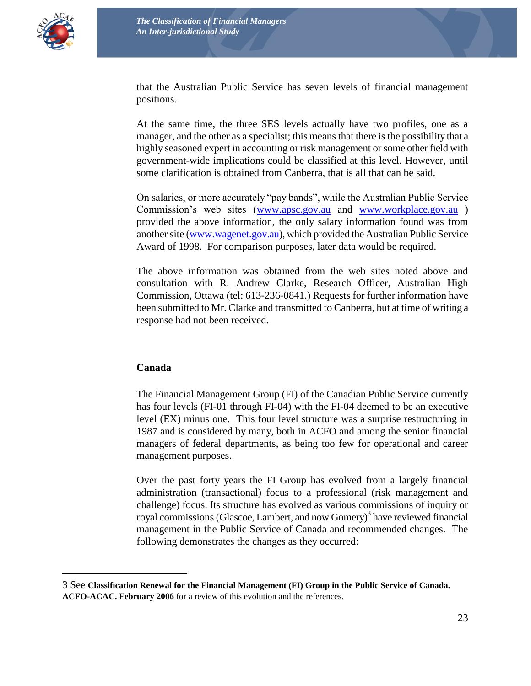

 $\overline{a}$ 

that the Australian Public Service has seven levels of financial management positions.

At the same time, the three SES levels actually have two profiles, one as a manager, and the other as a specialist; this means that there is the possibility that a highly seasoned expert in accounting or risk management or some other field with government-wide implications could be classified at this level. However, until some clarification is obtained from Canberra, that is all that can be said.

On salaries, or more accurately "pay bands", while the Australian Public Service Commission's web sites [\(www.apsc.gov.au](http://www.apsc.gov.au/) and [www.workplace.gov.au](http://www.workplace.gov.au/)) provided the above information, the only salary information found was from another site [\(www.wagenet.gov.au\)](http://www.wagenet.gov.au/), which provided the Australian Public Service Award of 1998. For comparison purposes, later data would be required.

The above information was obtained from the web sites noted above and consultation with R. Andrew Clarke, Research Officer, Australian High Commission, Ottawa (tel: 613-236-0841.) Requests for further information have been submitted to Mr. Clarke and transmitted to Canberra, but at time of writing a response had not been received.

#### <span id="page-22-0"></span>**Canada**

The Financial Management Group (FI) of the Canadian Public Service currently has four levels (FI-01 through FI-04) with the FI-04 deemed to be an executive level (EX) minus one. This four level structure was a surprise restructuring in 1987 and is considered by many, both in ACFO and among the senior financial managers of federal departments, as being too few for operational and career management purposes.

Over the past forty years the FI Group has evolved from a largely financial administration (transactional) focus to a professional (risk management and challenge) focus. Its structure has evolved as various commissions of inquiry or royal commissions (Glascoe, Lambert, and now Gomery)<sup>3</sup> have reviewed financial management in the Public Service of Canada and recommended changes. The following demonstrates the changes as they occurred:

<sup>3</sup> See **Classification Renewal for the Financial Management (FI) Group in the Public Service of Canada. ACFO-ACAC. February 2006** for a review of this evolution and the references.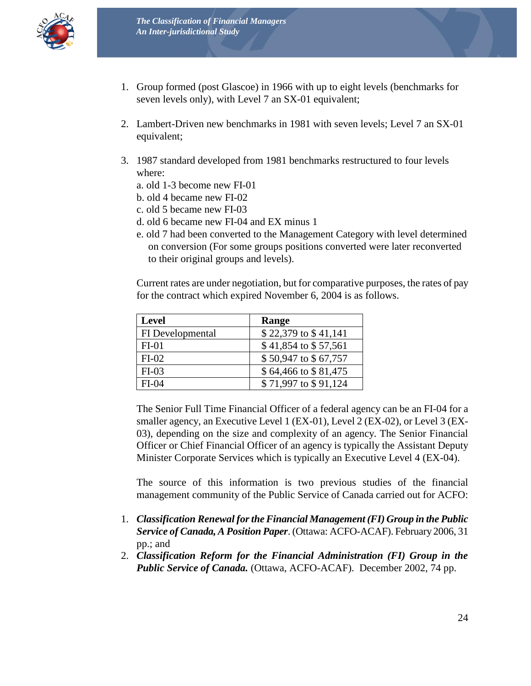

- 1. Group formed (post Glascoe) in 1966 with up to eight levels (benchmarks for seven levels only), with Level 7 an SX-01 equivalent;
- 2. Lambert-Driven new benchmarks in 1981 with seven levels; Level 7 an SX-01 equivalent;
- 3. 1987 standard developed from 1981 benchmarks restructured to four levels where:
	- a. old 1-3 become new FI-01
	- b. old 4 became new FI-02
	- c. old 5 became new FI-03
	- d. old 6 became new FI-04 and EX minus 1
	- e. old 7 had been converted to the Management Category with level determined on conversion (For some groups positions converted were later reconverted to their original groups and levels).

Current rates are under negotiation, but for comparative purposes, the rates of pay for the contract which expired November 6, 2004 is as follows.

| <b>Level</b>     | Range                |
|------------------|----------------------|
| FI Developmental | \$22,379 to \$41,141 |
| $FI-01$          | \$41,854 to \$57,561 |
| $FI-02$          | \$50,947 to \$67,757 |
| $FI-03$          | \$64,466 to \$81,475 |
| $FI-04$          | \$71,997 to \$91,124 |

The Senior Full Time Financial Officer of a federal agency can be an FI-04 for a smaller agency, an Executive Level 1 (EX-01), Level 2 (EX-02), or Level 3 (EX-03), depending on the size and complexity of an agency. The Senior Financial Officer or Chief Financial Officer of an agency is typically the Assistant Deputy Minister Corporate Services which is typically an Executive Level 4 (EX-04).

The source of this information is two previous studies of the financial management community of the Public Service of Canada carried out for ACFO:

- 1. *Classification Renewal for the Financial Management (FI) Group in the Public Service of Canada, A Position Paper*. (Ottawa: ACFO-ACAF). February 2006, 31 pp.; and
- 2. *Classification Reform for the Financial Administration (FI) Group in the Public Service of Canada.* (Ottawa, ACFO-ACAF). December 2002, 74 pp.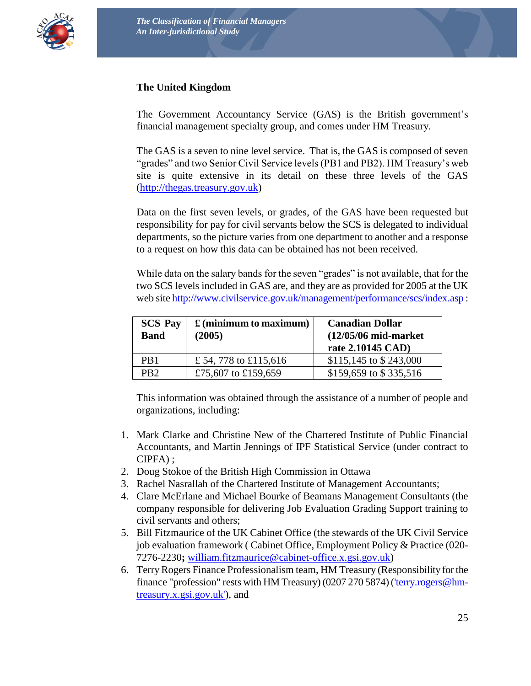<span id="page-24-0"></span>

#### **The United Kingdom**

The Government Accountancy Service (GAS) is the British government's financial management specialty group, and comes under HM Treasury.

The GAS is a seven to nine level service. That is, the GAS is composed of seven "grades" and two Senior Civil Service levels (PB1 and PB2). HM Treasury's web site is quite extensive in its detail on these three levels of the GAS [\(http://thegas.treasury.gov.uk\)](http://thegas.treasury.gov.uk/)

Data on the first seven levels, or grades, of the GAS have been requested but responsibility for pay for civil servants below the SCS is delegated to individual departments, so the picture varies from one department to another and a response to a request on how this data can be obtained has not been received.

While data on the salary bands for the seven "grades" is not available, that for the two SCS levels included in GAS are, and they are as provided for 2005 at the UK web sit[e http://www.civilservice.gov.uk/management/performance/scs/index.asp](http://www.civilservice.gov.uk/management/performance/scs/index.asp) :

| <b>SCS Pay</b><br><b>Band</b> | $\mathbf f$ (minimum to maximum)<br>(2005) | <b>Canadian Dollar</b><br>$(12/05/06 \text{ mid-market})$<br>rate 2.10145 CAD) |
|-------------------------------|--------------------------------------------|--------------------------------------------------------------------------------|
| PR <sub>1</sub>               | £ 54, 778 to £115,616                      | $$115,145$ to $$243,000$                                                       |
| PR <sub>2</sub>               | £75,607 to £159,659                        | \$159,659 to \$335,516                                                         |

This information was obtained through the assistance of a number of people and organizations, including:

- 1. Mark Clarke and Christine New of the Chartered Institute of Public Financial Accountants, and Martin Jennings of IPF Statistical Service (under contract to CIPFA) ;
- 2. Doug Stokoe of the British High Commission in Ottawa
- 3. Rachel Nasrallah of the Chartered Institute of Management Accountants;
- 4. Clare McErlane and Michael Bourke of Beamans Management Consultants (the company responsible for delivering Job Evaluation Grading Support training to civil servants and others;
- 5. Bill Fitzmaurice of the UK Cabinet Office (the stewards of the UK Civil Service job evaluation framework ( Cabinet Office, Employment Policy & Practice (020- 7276-2230**;** [william.fitzmaurice@cabinet-office.x.gsi.gov.uk\)](mailto:william.fitzmaurice@cabinet-office.x.gsi.gov.uk)
- 6. Terry Rogers Finance Professionalism team, HM Treasury (Responsibility for the finance "profession" rests with HM Treasury) (0207 270 5874) [\('terry.rogers@hm](mailto:)[treasury.x.gsi.gov.uk'\)](mailto:), and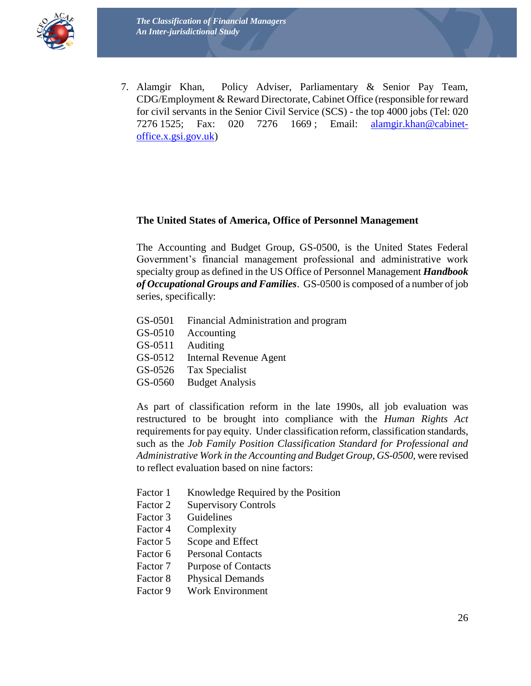

7. Alamgir Khan, Policy Adviser, Parliamentary & Senior Pay Team, CDG/Employment & Reward Directorate, Cabinet Office (responsible for reward for civil servants in the Senior Civil Service (SCS) - the top 4000 jobs (Tel: 020 7276 1525; Fax: 020 7276 1669 ; Email: [alamgir.khan@cabinet](mailto:alamgir.khan@cabinet-office.x.gsi.gov.uk)[office.x.gsi.gov.uk\)](mailto:alamgir.khan@cabinet-office.x.gsi.gov.uk)

#### <span id="page-25-0"></span>**The United States of America, Office of Personnel Management**

The Accounting and Budget Group, GS-0500, is the United States Federal Government's financial management professional and administrative work specialty group as defined in the US Office of Personnel Management *Handbook of Occupational Groups and Families*. GS-0500 is composed of a number of job series, specifically:

- GS-0501 Financial Administration and program
- GS-0510 Accounting
- GS-0511 Auditing
- GS-0512 Internal Revenue Agent
- GS-0526 Tax Specialist
- GS-0560 Budget Analysis

As part of classification reform in the late 1990s, all job evaluation was restructured to be brought into compliance with the *Human Rights Act* requirements for pay equity. Under classification reform, classification standards, such as the *Job Family Position Classification Standard for Professional and Administrative Work in the Accounting and Budget Group, GS-0500*, were revised to reflect evaluation based on nine factors:

- Factor 1 Knowledge Required by the Position
- Factor 2 Supervisory Controls
- Factor 3 Guidelines
- Factor 4 Complexity
- Factor 5 Scope and Effect
- Factor 6 Personal Contacts
- Factor 7 Purpose of Contacts
- Factor 8 Physical Demands
- Factor 9 Work Environment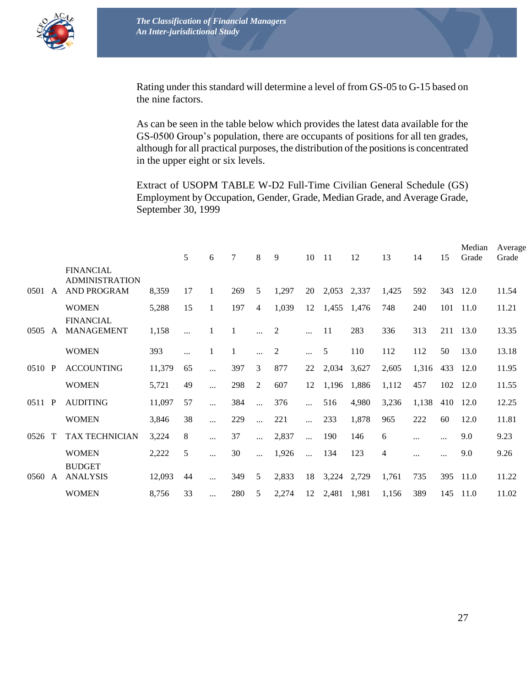

Rating under this standard will determine a level of from GS-05 to G-15 based on the nine factors.

As can be seen in the table below which provides the latest data available for the GS-0500 Group's population, there are occupants of positions for all ten grades, although for all practical purposes, the distribution of the positions is concentrated in the upper eight or six levels.

Extract of USOPM TABLE W-D2 Full-Time Civilian General Schedule (GS) Employment by Occupation, Gender, Grade, Median Grade, and Average Grade, September 30, 1999

|        |              |                                                                 |        | 5  | 6         | 7   | 8              | 9              | 10        | 11          | 12    | 13             | 14       | 15  | Median<br>Grade | Average<br>Grade |
|--------|--------------|-----------------------------------------------------------------|--------|----|-----------|-----|----------------|----------------|-----------|-------------|-------|----------------|----------|-----|-----------------|------------------|
| 0501   | A            | <b>FINANCIAL</b><br><b>ADMINISTRATION</b><br><b>AND PROGRAM</b> | 8,359  | 17 | 1         | 269 | 5              | 1,297          | 20        | 2,053       | 2,337 | 1,425          | 592      | 343 | 12.0            | 11.54            |
|        |              | <b>WOMEN</b>                                                    | 5,288  | 15 | 1         | 197 | $\overline{4}$ | 1,039          | 12        | 1,455       | 1,476 | 748            | 240      | 101 | 11.0            | 11.21            |
| 0505   | A            | <b>FINANCIAL</b><br><b>MANAGEMENT</b>                           | 1,158  |    |           |     | $\cdots$       | $\overline{2}$ |           | 11          | 283   | 336            | 313      | 211 | 13.0            | 13.35            |
|        |              | <b>WOMEN</b>                                                    | 393    |    | 1         |     | $\cdots$       | $\overline{c}$ | $\cdots$  | 5           | 110   | 112            | 112      | 50  | 13.0            | 13.18            |
| 0510 P |              | <b>ACCOUNTING</b>                                               | 11,379 | 65 |           | 397 | 3              | 877            | 22        | 2,034       | 3,627 | 2,605          | 1,316    | 433 | 12.0            | 11.95            |
|        |              | <b>WOMEN</b>                                                    | 5,721  | 49 | $\ddotsc$ | 298 | 2              | 607            | 12        | 1,196       | 1,886 | 1,112          | 457      | 102 | 12.0            | 11.55            |
| 0511   | P            | <b>AUDITING</b>                                                 | 11,097 | 57 | $\ddotsc$ | 384 | $\ddotsc$      | 376            | $\ddotsc$ | 516         | 4,980 | 3,236          | 1,138    | 410 | 12.0            | 12.25            |
|        |              | <b>WOMEN</b>                                                    | 3,846  | 38 | $\cdots$  | 229 | $\ddotsc$      | 221            | $\ddotsc$ | 233         | 1,878 | 965            | 222      | 60  | 12.0            | 11.81            |
| 0526   | $\mathbf T$  | TAX TECHNICIAN                                                  | 3,224  | 8  | $\cdots$  | 37  | $\cdots$       | 2,837          | $\cdots$  | 190         | 146   | 6              | $\cdots$ |     | 9.0             | 9.23             |
|        |              | <b>WOMEN</b>                                                    | 2,222  | 5  | $\cdots$  | 30  | $\cdots$       | 1,926          | $\cdots$  | 134         | 123   | $\overline{4}$ | .        |     | 9.0             | 9.26             |
| 0560   | $\mathbf{A}$ | <b>BUDGET</b><br><b>ANALYSIS</b>                                | 12,093 | 44 |           | 349 | 5              | 2,833          | 18        | 3,224       | 2,729 | 1,761          | 735      | 395 | 11.0            | 11.22            |
|        |              | <b>WOMEN</b>                                                    | 8,756  | 33 | .         | 280 | 5              | 2,274          | 12        | 2,481 1,981 |       | 1,156          | 389      | 145 | 11.0            | 11.02            |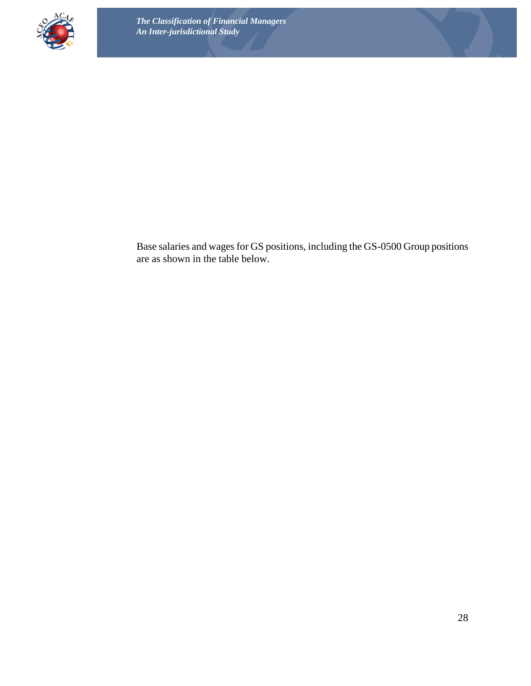

Base salaries and wages for GS positions, including the GS-0500 Group positions are as shown in the table below.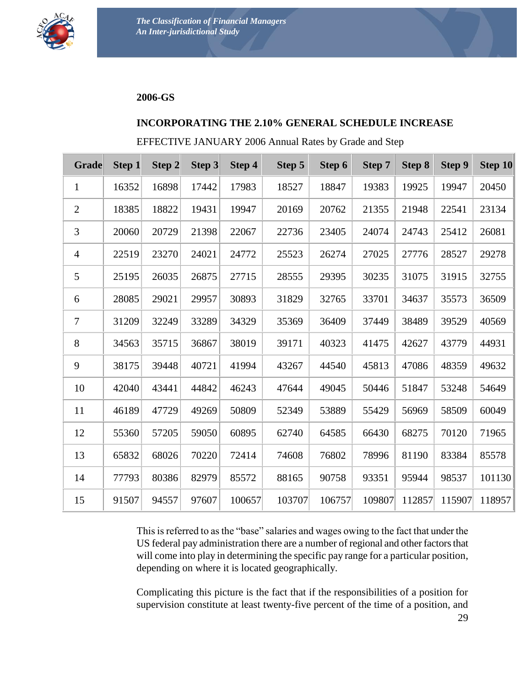

#### **2006-GS**

#### **INCORPORATING THE 2.10% GENERAL SCHEDULE INCREASE**

#### EFFECTIVE JANUARY 2006 Annual Rates by Grade and Step

| <b>Grade</b>     | <b>Step 1</b> | Step 2 | Step 3 | Step 4 | Step 5 | Step 6 | Step 7 | <b>Step 8</b> | Step 9 | Step 10 |
|------------------|---------------|--------|--------|--------|--------|--------|--------|---------------|--------|---------|
| $\mathbf{1}$     | 16352         | 16898  | 17442  | 17983  | 18527  | 18847  | 19383  | 19925         | 19947  | 20450   |
| $\overline{2}$   | 18385         | 18822  | 19431  | 19947  | 20169  | 20762  | 21355  | 21948         | 22541  | 23134   |
| 3                | 20060         | 20729  | 21398  | 22067  | 22736  | 23405  | 24074  | 24743         | 25412  | 26081   |
| $\overline{4}$   | 22519         | 23270  | 24021  | 24772  | 25523  | 26274  | 27025  | 27776         | 28527  | 29278   |
| 5                | 25195         | 26035  | 26875  | 27715  | 28555  | 29395  | 30235  | 31075         | 31915  | 32755   |
| 6                | 28085         | 29021  | 29957  | 30893  | 31829  | 32765  | 33701  | 34637         | 35573  | 36509   |
| $\boldsymbol{7}$ | 31209         | 32249  | 33289  | 34329  | 35369  | 36409  | 37449  | 38489         | 39529  | 40569   |
| 8                | 34563         | 35715  | 36867  | 38019  | 39171  | 40323  | 41475  | 42627         | 43779  | 44931   |
| 9                | 38175         | 39448  | 40721  | 41994  | 43267  | 44540  | 45813  | 47086         | 48359  | 49632   |
| 10               | 42040         | 43441  | 44842  | 46243  | 47644  | 49045  | 50446  | 51847         | 53248  | 54649   |
| 11               | 46189         | 47729  | 49269  | 50809  | 52349  | 53889  | 55429  | 56969         | 58509  | 60049   |
| 12               | 55360         | 57205  | 59050  | 60895  | 62740  | 64585  | 66430  | 68275         | 70120  | 71965   |
| 13               | 65832         | 68026  | 70220  | 72414  | 74608  | 76802  | 78996  | 81190         | 83384  | 85578   |
| 14               | 77793         | 80386  | 82979  | 85572  | 88165  | 90758  | 93351  | 95944         | 98537  | 101130  |
| 15               | 91507         | 94557  | 97607  | 100657 | 103707 | 106757 | 109807 | 112857        | 115907 | 118957  |

This is referred to as the "base" salaries and wages owing to the fact that under the US federal pay administration there are a number of regional and other factors that will come into play in determining the specific pay range for a particular position, depending on where it is located geographically.

Complicating this picture is the fact that if the responsibilities of a position for supervision constitute at least twenty-five percent of the time of a position, and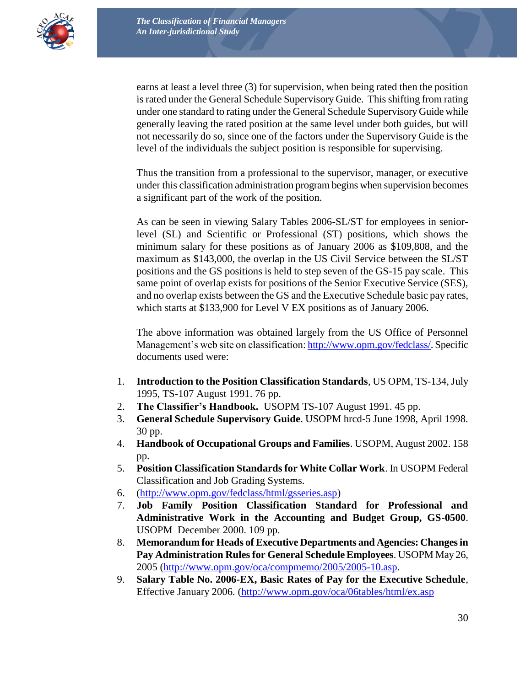

earns at least a level three (3) for supervision, when being rated then the position is rated under the General Schedule Supervisory Guide. This shifting from rating under one standard to rating under the General Schedule Supervisory Guide while generally leaving the rated position at the same level under both guides, but will not necessarily do so, since one of the factors under the Supervisory Guide is the level of the individuals the subject position is responsible for supervising.

Thus the transition from a professional to the supervisor, manager, or executive under this classification administration program begins when supervision becomes a significant part of the work of the position.

As can be seen in viewing Salary Tables 2006-SL/ST for employees in seniorlevel (SL) and Scientific or Professional (ST) positions, which shows the minimum salary for these positions as of January 2006 as \$109,808, and the maximum as \$143,000, the overlap in the US Civil Service between the SL/ST positions and the GS positions is held to step seven of the GS-15 pay scale. This same point of overlap exists for positions of the Senior Executive Service (SES), and no overlap exists between the GS and the Executive Schedule basic pay rates, which starts at \$133,900 for Level V EX positions as of January 2006.

The above information was obtained largely from the US Office of Personnel Management's web site on classification: [http://www.opm.gov/fedclass/.](http://www.opm.gov/fedclass/) Specific documents used were:

- 1. **Introduction to the Position Classification Standards**, US OPM, TS-134, July 1995, TS-107 August 1991. 76 pp.
- 2. **The Classifier's Handbook.** USOPM TS-107 August 1991. 45 pp.
- 3. **General Schedule Supervisory Guide**. USOPM hrcd-5 June 1998, April 1998. 30 pp.
- 4. **Handbook of Occupational Groups and Families**. USOPM, August 2002. 158 pp.
- 5. **Position Classification Standards for White Collar Work**. In USOPM Federal Classification and Job Grading Systems.
- 6. [\(http://www.opm.gov/fedclass/html/gsseries.asp\)](http://www.opm.gov/fedclass/html/gsseries.asp)
- 7. **Job Family Position Classification Standard for Professional and Administrative Work in the Accounting and Budget Group, GS**-**0500**. USOPM December 2000. 109 pp.
- 8. **Memorandum for Heads of Executive Departments and Agencies: Changes in Pay Administration Rules for General Schedule Employees**. USOPM May 26, 2005 [\(http://www.opm.gov/oca/compmemo/2005/2005-10.asp.](http://www.opm.gov/oca/compmemo/2005/2005-10.asp)
- 9. **Salary Table No. 2006-EX, Basic Rates of Pay for the Executive Schedule**, Effective January 2006. [\(http://www.opm.gov/oca/06tables/html/ex.asp](http://www.opm.gov/oca/06tables/html/ex.asp)